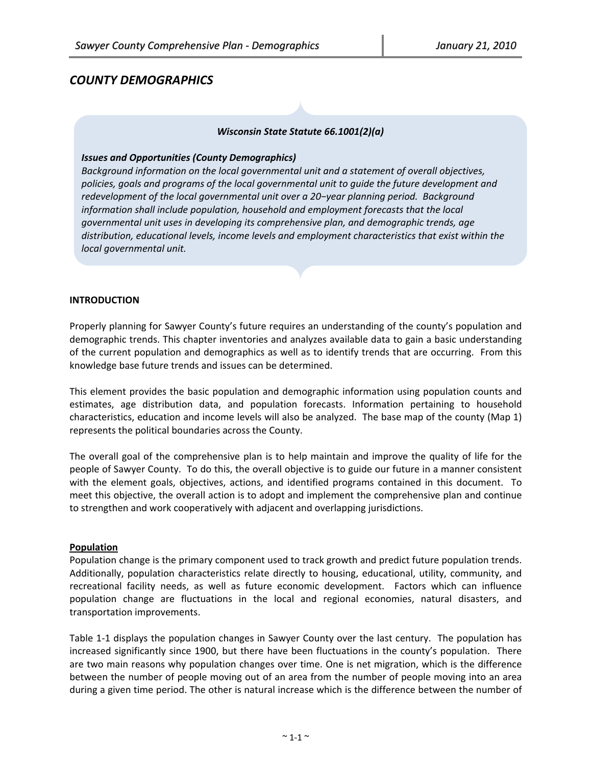# *COUNTY DEMOGRAPHICS*

# *Wisconsin State Statute 66.1001(2)(a)*

#### *Issues and Opportunities (County Demographics)*

*Background information on the local governmental unit and a statement of overall objectives, policies, goals and programs of the local governmental unit to guide the future development and redevelopment of the local governmental unit over a 20−year planning period. Background information shall include population, household and employment forecasts that the local governmental unit uses in developing its comprehensive plan, and demographic trends, age distribution, educational levels, income levels and employment characteristics that exist within the local governmental unit.*

#### **INTRODUCTION**

Properly planning for Sawyer County's future requires an understanding of the county's population and demographic trends. This chapter inventories and analyzes available data to gain a basic understanding of the current population and demographics as well as to identify trends that are occurring. From this knowledge base future trends and issues can be determined.

This element provides the basic population and demographic information using population counts and estimates, age distribution data, and population forecasts. Information pertaining to household characteristics, education and income levels will also be analyzed. The base map of the county (Map 1) represents the political boundaries across the County.

The overall goal of the comprehensive plan is to help maintain and improve the quality of life for the people of Sawyer County. To do this, the overall objective is to guide our future in a manner consistent with the element goals, objectives, actions, and identified programs contained in this document. To meet this objective, the overall action is to adopt and implement the comprehensive plan and continue to strengthen and work cooperatively with adjacent and overlapping jurisdictions.

#### **Population**

Population change is the primary component used to track growth and predict future population trends. Additionally, population characteristics relate directly to housing, educational, utility, community, and recreational facility needs, as well as future economic development. Factors which can influence population change are fluctuations in the local and regional economies, natural disasters, and transportation improvements.

Table 1‐1 displays the population changes in Sawyer County over the last century. The population has increased significantly since 1900, but there have been fluctuations in the county's population. There are two main reasons why population changes over time. One is net migration, which is the difference between the number of people moving out of an area from the number of people moving into an area during a given time period. The other is natural increase which is the difference between the number of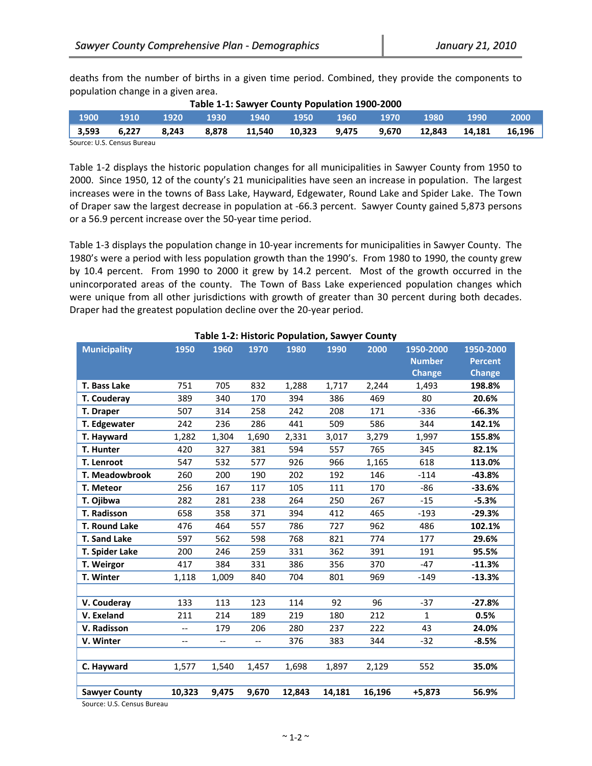or a 56.9 percent increase over the 50‐year time period.

deaths from the number of births in a given time period. Combined, they provide the components to population change in a given area.

|       | Table 1-1: Sawyer County Population 1900-2000 |       |       |        |        |       |       |        |        |        |  |
|-------|-----------------------------------------------|-------|-------|--------|--------|-------|-------|--------|--------|--------|--|
| 1900  | 1910                                          | 1920  | 1930  | 1940   | 1950   | 1960  | 1970  | 1980   | 1990   | 2000   |  |
| 3,593 | 6.227                                         | 8.243 | 8.878 | 11.540 | 10.323 | 9.475 | 9.670 | 12.843 | 14.181 | 16,196 |  |
|       | Source: U.S. Census Bureau                    |       |       |        |        |       |       |        |        |        |  |

Table 1‐2 displays the historic population changes for all municipalities in Sawyer County from 1950 to 2000. Since 1950, 12 of the county's 21 municipalities have seen an increase in population. The largest increases were in the towns of Bass Lake, Hayward, Edgewater, Round Lake and Spider Lake. The Town

of Draper saw the largest decrease in population at ‐66.3 percent. Sawyer County gained 5,873 persons

Table 1‐3 displays the population change in 10‐year increments for municipalities in Sawyer County. The 1980's were a period with less population growth than the 1990's. From 1980 to 1990, the county grew by 10.4 percent. From 1990 to 2000 it grew by 14.2 percent. Most of the growth occurred in the unincorporated areas of the county. The Town of Bass Lake experienced population changes which were unique from all other jurisdictions with growth of greater than 30 percent during both decades. Draper had the greatest population decline over the 20‐year period.

| <b>Municipality</b>  | 1950                     | 1960  | 1970  | 1980   | rabic 1-2. mstoric i opalation, sawyer county<br>1990 | 2000   | 1950-2000     | 1950-2000      |
|----------------------|--------------------------|-------|-------|--------|-------------------------------------------------------|--------|---------------|----------------|
|                      |                          |       |       |        |                                                       |        | <b>Number</b> | <b>Percent</b> |
|                      |                          |       |       |        |                                                       |        | <b>Change</b> | <b>Change</b>  |
| T. Bass Lake         | 751                      | 705   | 832   | 1,288  | 1,717                                                 | 2,244  | 1,493         | 198.8%         |
| T. Couderay          | 389                      | 340   | 170   | 394    | 386                                                   | 469    | 80            | 20.6%          |
| T. Draper            | 507                      | 314   | 258   | 242    | 208                                                   | 171    | $-336$        | $-66.3%$       |
| T. Edgewater         | 242                      | 236   | 286   | 441    | 509                                                   | 586    | 344           | 142.1%         |
| T. Hayward           | 1,282                    | 1,304 | 1,690 | 2,331  | 3,017                                                 | 3,279  | 1,997         | 155.8%         |
| T. Hunter            | 420                      | 327   | 381   | 594    | 557                                                   | 765    | 345           | 82.1%          |
| <b>T. Lenroot</b>    | 547                      | 532   | 577   | 926    | 966                                                   | 1,165  | 618           | 113.0%         |
| T. Meadowbrook       | 260                      | 200   | 190   | 202    | 192                                                   | 146    | $-114$        | -43.8%         |
| T. Meteor            | 256                      | 167   | 117   | 105    | 111                                                   | 170    | $-86$         | $-33.6%$       |
| T. Ojibwa            | 282                      | 281   | 238   | 264    | 250                                                   | 267    | $-15$         | $-5.3%$        |
| <b>T. Radisson</b>   | 658                      | 358   | 371   | 394    | 412                                                   | 465    | $-193$        | $-29.3%$       |
| T. Round Lake        | 476                      | 464   | 557   | 786    | 727                                                   | 962    | 486           | 102.1%         |
| <b>T. Sand Lake</b>  | 597                      | 562   | 598   | 768    | 821                                                   | 774    | 177           | 29.6%          |
| T. Spider Lake       | 200                      | 246   | 259   | 331    | 362                                                   | 391    | 191           | 95.5%          |
| T. Weirgor           | 417                      | 384   | 331   | 386    | 356                                                   | 370    | $-47$         | $-11.3%$       |
| T. Winter            | 1,118                    | 1,009 | 840   | 704    | 801                                                   | 969    | $-149$        | $-13.3%$       |
|                      |                          |       |       |        |                                                       |        |               |                |
| V. Couderay          | 133                      | 113   | 123   | 114    | 92                                                    | 96     | $-37$         | $-27.8%$       |
| V. Exeland           | 211                      | 214   | 189   | 219    | 180                                                   | 212    | $\mathbf{1}$  | 0.5%           |
| V. Radisson          | $\overline{\phantom{a}}$ | 179   | 206   | 280    | 237                                                   | 222    | 43            | 24.0%          |
| V. Winter            | $-$                      | $-$   | $-$   | 376    | 383                                                   | 344    | $-32$         | $-8.5%$        |
|                      |                          |       |       |        |                                                       |        |               |                |
| C. Hayward           | 1,577                    | 1,540 | 1,457 | 1,698  | 1,897                                                 | 2,129  | 552           | 35.0%          |
|                      |                          |       |       |        |                                                       |        |               |                |
| <b>Sawyer County</b> | 10,323                   | 9,475 | 9,670 | 12,843 | 14,181                                                | 16,196 | $+5,873$      | 56.9%          |

# **Table 1‐2: Historic Population, Sawyer County**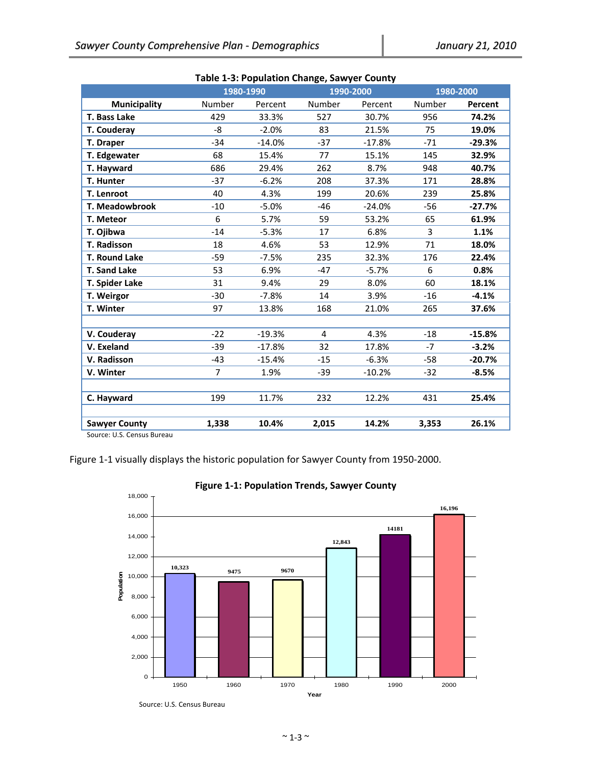| 1980-1990<br>1990-2000<br>1980-2000<br>Number<br>Number<br>Number<br><b>Municipality</b><br>Percent<br>Percent<br>Percent<br>T. Bass Lake<br>429<br>33.3%<br>527<br>30.7%<br>956<br>74.2%<br>-8<br>$-2.0%$<br>83<br>21.5%<br>75<br>19.0%<br>T. Couderay<br>$-37$<br>T. Draper<br>$-34$<br>$-14.0%$<br>$-17.8%$<br>$-71$<br>$-29.3%$<br>T. Edgewater<br>68<br>15.4%<br>77<br>15.1%<br>145<br>32.9%<br>686<br>29.4%<br>262<br>8.7%<br>40.7%<br>T. Hayward<br>948<br>T. Hunter<br>$-37$<br>$-6.2%$<br>208<br>37.3%<br>171<br>28.8%<br>T. Lenroot<br>40<br>199<br>20.6%<br>4.3%<br>239<br>25.8%<br><b>T. Meadowbrook</b><br>$-5.0%$<br>$-24.0%$<br>$-10$<br>$-46$<br>$-56$<br>$-27.7%$<br>6<br>5.7%<br>59<br>53.2%<br>65<br>T. Meteor<br>61.9%<br>3<br>$-14$<br>6.8%<br>1.1%<br>T. Ojibwa<br>$-5.3%$<br>17<br>T. Radisson<br>18<br>71<br>4.6%<br>53<br>12.9%<br>18.0%<br><b>T. Round Lake</b><br>235<br>$-59$<br>$-7.5%$<br>32.3%<br>176<br>22.4%<br><b>T. Sand Lake</b><br>53<br>6.9%<br>$-47$<br>$-5.7%$<br>6<br>0.8%<br>T. Spider Lake<br>31<br>9.4%<br>8.0%<br>60<br>18.1%<br>29<br>T. Weirgor<br>$-30$<br>$-7.8%$<br>14<br>3.9%<br>$-16$<br>$-4.1%$<br>T. Winter<br>97<br>21.0%<br>13.8%<br>168<br>265<br>37.6%<br>V. Couderay<br>$-22$<br>$-19.3%$<br>4.3%<br>$-15.8%$<br>4<br>$-18$<br>V. Exeland<br>32<br>$-7$<br>$-39$<br>$-17.8%$<br>17.8%<br>$-3.2%$<br>$-15$<br>V. Radisson<br>$-43$<br>$-15.4%$<br>$-6.3%$<br>$-58$<br>$-20.7%$<br>$\overline{7}$<br>V. Winter<br>1.9%<br>$-39$<br>$-10.2%$<br>$-32$<br>$-8.5%$<br>199<br>11.7%<br>232<br>12.2%<br>431<br>25.4%<br>C. Hayward<br>1,338<br>10.4%<br>2,015<br>14.2%<br>26.1%<br><b>Sawyer County</b><br>3,353 |  | Table 1-5. rupulation Change, sawyer County |  |  |
|----------------------------------------------------------------------------------------------------------------------------------------------------------------------------------------------------------------------------------------------------------------------------------------------------------------------------------------------------------------------------------------------------------------------------------------------------------------------------------------------------------------------------------------------------------------------------------------------------------------------------------------------------------------------------------------------------------------------------------------------------------------------------------------------------------------------------------------------------------------------------------------------------------------------------------------------------------------------------------------------------------------------------------------------------------------------------------------------------------------------------------------------------------------------------------------------------------------------------------------------------------------------------------------------------------------------------------------------------------------------------------------------------------------------------------------------------------------------------------------------------------------------------------------------------------------------------------------------------------------------------------------------------------------------|--|---------------------------------------------|--|--|
|                                                                                                                                                                                                                                                                                                                                                                                                                                                                                                                                                                                                                                                                                                                                                                                                                                                                                                                                                                                                                                                                                                                                                                                                                                                                                                                                                                                                                                                                                                                                                                                                                                                                      |  |                                             |  |  |
|                                                                                                                                                                                                                                                                                                                                                                                                                                                                                                                                                                                                                                                                                                                                                                                                                                                                                                                                                                                                                                                                                                                                                                                                                                                                                                                                                                                                                                                                                                                                                                                                                                                                      |  |                                             |  |  |
|                                                                                                                                                                                                                                                                                                                                                                                                                                                                                                                                                                                                                                                                                                                                                                                                                                                                                                                                                                                                                                                                                                                                                                                                                                                                                                                                                                                                                                                                                                                                                                                                                                                                      |  |                                             |  |  |
|                                                                                                                                                                                                                                                                                                                                                                                                                                                                                                                                                                                                                                                                                                                                                                                                                                                                                                                                                                                                                                                                                                                                                                                                                                                                                                                                                                                                                                                                                                                                                                                                                                                                      |  |                                             |  |  |
|                                                                                                                                                                                                                                                                                                                                                                                                                                                                                                                                                                                                                                                                                                                                                                                                                                                                                                                                                                                                                                                                                                                                                                                                                                                                                                                                                                                                                                                                                                                                                                                                                                                                      |  |                                             |  |  |
|                                                                                                                                                                                                                                                                                                                                                                                                                                                                                                                                                                                                                                                                                                                                                                                                                                                                                                                                                                                                                                                                                                                                                                                                                                                                                                                                                                                                                                                                                                                                                                                                                                                                      |  |                                             |  |  |
|                                                                                                                                                                                                                                                                                                                                                                                                                                                                                                                                                                                                                                                                                                                                                                                                                                                                                                                                                                                                                                                                                                                                                                                                                                                                                                                                                                                                                                                                                                                                                                                                                                                                      |  |                                             |  |  |
|                                                                                                                                                                                                                                                                                                                                                                                                                                                                                                                                                                                                                                                                                                                                                                                                                                                                                                                                                                                                                                                                                                                                                                                                                                                                                                                                                                                                                                                                                                                                                                                                                                                                      |  |                                             |  |  |
|                                                                                                                                                                                                                                                                                                                                                                                                                                                                                                                                                                                                                                                                                                                                                                                                                                                                                                                                                                                                                                                                                                                                                                                                                                                                                                                                                                                                                                                                                                                                                                                                                                                                      |  |                                             |  |  |
|                                                                                                                                                                                                                                                                                                                                                                                                                                                                                                                                                                                                                                                                                                                                                                                                                                                                                                                                                                                                                                                                                                                                                                                                                                                                                                                                                                                                                                                                                                                                                                                                                                                                      |  |                                             |  |  |
|                                                                                                                                                                                                                                                                                                                                                                                                                                                                                                                                                                                                                                                                                                                                                                                                                                                                                                                                                                                                                                                                                                                                                                                                                                                                                                                                                                                                                                                                                                                                                                                                                                                                      |  |                                             |  |  |
|                                                                                                                                                                                                                                                                                                                                                                                                                                                                                                                                                                                                                                                                                                                                                                                                                                                                                                                                                                                                                                                                                                                                                                                                                                                                                                                                                                                                                                                                                                                                                                                                                                                                      |  |                                             |  |  |
|                                                                                                                                                                                                                                                                                                                                                                                                                                                                                                                                                                                                                                                                                                                                                                                                                                                                                                                                                                                                                                                                                                                                                                                                                                                                                                                                                                                                                                                                                                                                                                                                                                                                      |  |                                             |  |  |
|                                                                                                                                                                                                                                                                                                                                                                                                                                                                                                                                                                                                                                                                                                                                                                                                                                                                                                                                                                                                                                                                                                                                                                                                                                                                                                                                                                                                                                                                                                                                                                                                                                                                      |  |                                             |  |  |
|                                                                                                                                                                                                                                                                                                                                                                                                                                                                                                                                                                                                                                                                                                                                                                                                                                                                                                                                                                                                                                                                                                                                                                                                                                                                                                                                                                                                                                                                                                                                                                                                                                                                      |  |                                             |  |  |
|                                                                                                                                                                                                                                                                                                                                                                                                                                                                                                                                                                                                                                                                                                                                                                                                                                                                                                                                                                                                                                                                                                                                                                                                                                                                                                                                                                                                                                                                                                                                                                                                                                                                      |  |                                             |  |  |
|                                                                                                                                                                                                                                                                                                                                                                                                                                                                                                                                                                                                                                                                                                                                                                                                                                                                                                                                                                                                                                                                                                                                                                                                                                                                                                                                                                                                                                                                                                                                                                                                                                                                      |  |                                             |  |  |
|                                                                                                                                                                                                                                                                                                                                                                                                                                                                                                                                                                                                                                                                                                                                                                                                                                                                                                                                                                                                                                                                                                                                                                                                                                                                                                                                                                                                                                                                                                                                                                                                                                                                      |  |                                             |  |  |
|                                                                                                                                                                                                                                                                                                                                                                                                                                                                                                                                                                                                                                                                                                                                                                                                                                                                                                                                                                                                                                                                                                                                                                                                                                                                                                                                                                                                                                                                                                                                                                                                                                                                      |  |                                             |  |  |
|                                                                                                                                                                                                                                                                                                                                                                                                                                                                                                                                                                                                                                                                                                                                                                                                                                                                                                                                                                                                                                                                                                                                                                                                                                                                                                                                                                                                                                                                                                                                                                                                                                                                      |  |                                             |  |  |
|                                                                                                                                                                                                                                                                                                                                                                                                                                                                                                                                                                                                                                                                                                                                                                                                                                                                                                                                                                                                                                                                                                                                                                                                                                                                                                                                                                                                                                                                                                                                                                                                                                                                      |  |                                             |  |  |
|                                                                                                                                                                                                                                                                                                                                                                                                                                                                                                                                                                                                                                                                                                                                                                                                                                                                                                                                                                                                                                                                                                                                                                                                                                                                                                                                                                                                                                                                                                                                                                                                                                                                      |  |                                             |  |  |
|                                                                                                                                                                                                                                                                                                                                                                                                                                                                                                                                                                                                                                                                                                                                                                                                                                                                                                                                                                                                                                                                                                                                                                                                                                                                                                                                                                                                                                                                                                                                                                                                                                                                      |  |                                             |  |  |
|                                                                                                                                                                                                                                                                                                                                                                                                                                                                                                                                                                                                                                                                                                                                                                                                                                                                                                                                                                                                                                                                                                                                                                                                                                                                                                                                                                                                                                                                                                                                                                                                                                                                      |  |                                             |  |  |
|                                                                                                                                                                                                                                                                                                                                                                                                                                                                                                                                                                                                                                                                                                                                                                                                                                                                                                                                                                                                                                                                                                                                                                                                                                                                                                                                                                                                                                                                                                                                                                                                                                                                      |  |                                             |  |  |
|                                                                                                                                                                                                                                                                                                                                                                                                                                                                                                                                                                                                                                                                                                                                                                                                                                                                                                                                                                                                                                                                                                                                                                                                                                                                                                                                                                                                                                                                                                                                                                                                                                                                      |  |                                             |  |  |
|                                                                                                                                                                                                                                                                                                                                                                                                                                                                                                                                                                                                                                                                                                                                                                                                                                                                                                                                                                                                                                                                                                                                                                                                                                                                                                                                                                                                                                                                                                                                                                                                                                                                      |  |                                             |  |  |

#### **Table 1‐3: Population Change, Sawyer County**

Source: U.S. Census Bureau

Figure 1‐1 visually displays the historic population for Sawyer County from 1950‐2000.



**Figure 1‐1: Population Trends, Sawyer County**

 Source: U.S. Census Bureau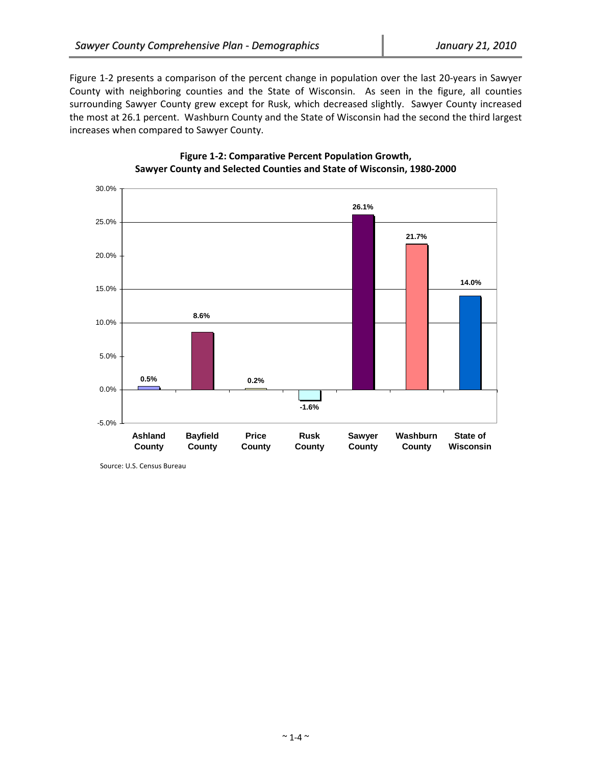Figure 1‐2 presents a comparison of the percent change in population over the last 20‐years in Sawyer County with neighboring counties and the State of Wisconsin. As seen in the figure, all counties surrounding Sawyer County grew except for Rusk, which decreased slightly. Sawyer County increased the most at 26.1 percent. Washburn County and the State of Wisconsin had the second the third largest increases when compared to Sawyer County.



# **Figure 1‐2: Comparative Percent Population Growth, Sawyer County and Selected Counties and State of Wisconsin, 1980‐2000**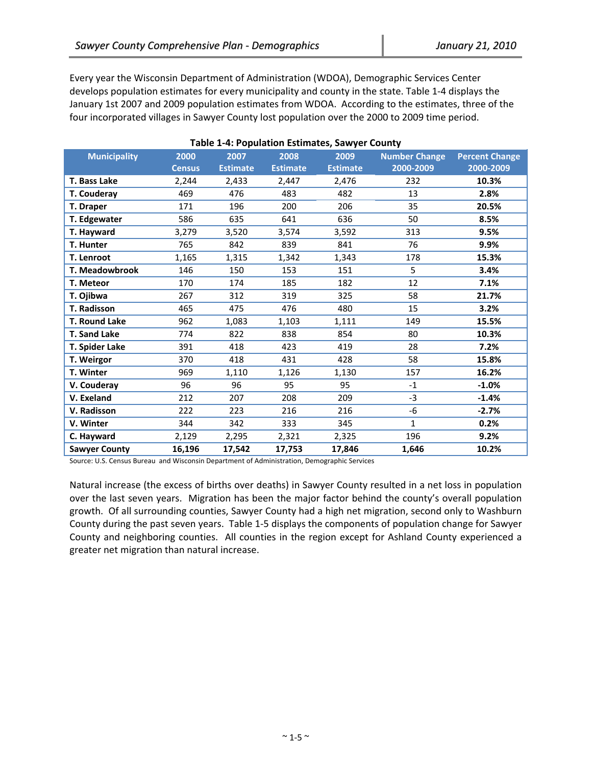Every year the Wisconsin Department of Administration (WDOA), Demographic Services Center develops population estimates for every municipality and county in the state. Table 1‐4 displays the January 1st 2007 and 2009 population estimates from WDOA. According to the estimates, three of the four incorporated villages in Sawyer County lost population over the 2000 to 2009 time period.

| <b>Municipality</b>   | 2000<br><b>Census</b> | 2007<br><b>Estimate</b> | 2008<br><b>Estimate</b> | 2009<br><b>Estimate</b> | -- -------<br><b>Number Change</b><br>2000-2009 | <b>Percent Change</b><br>2000-2009 |
|-----------------------|-----------------------|-------------------------|-------------------------|-------------------------|-------------------------------------------------|------------------------------------|
| T. Bass Lake          | 2,244                 | 2,433                   | 2,447                   | 2,476                   | 232                                             | 10.3%                              |
| T. Couderay           | 469                   | 476                     | 483                     | 482                     | 13                                              | 2.8%                               |
| T. Draper             | 171                   | 196                     | 200                     | 206                     | 35                                              | 20.5%                              |
| T. Edgewater          | 586                   | 635                     | 641                     | 636                     | 50                                              | 8.5%                               |
| T. Hayward            | 3,279                 | 3,520                   | 3,574                   | 3,592                   | 313                                             | 9.5%                               |
| T. Hunter             | 765                   | 842                     | 839                     | 841                     | 76                                              | 9.9%                               |
| T. Lenroot            | 1,165                 | 1,315                   | 1,342                   | 1,343                   | 178                                             | 15.3%                              |
| <b>T. Meadowbrook</b> | 146                   | 150                     | 153                     | 151                     | 5                                               | 3.4%                               |
| T. Meteor             | 170                   | 174                     | 185                     | 182                     | 12                                              | 7.1%                               |
| T. Ojibwa             | 267                   | 312                     | 319                     | 325                     | 58                                              | 21.7%                              |
| T. Radisson           | 465                   | 475                     | 476                     | 480                     | 15                                              | 3.2%                               |
| T. Round Lake         | 962                   | 1,083                   | 1,103                   | 1,111                   | 149                                             | 15.5%                              |
| <b>T. Sand Lake</b>   | 774                   | 822                     | 838                     | 854                     | 80                                              | 10.3%                              |
| T. Spider Lake        | 391                   | 418                     | 423                     | 419                     | 28                                              | 7.2%                               |
| T. Weirgor            | 370                   | 418                     | 431                     | 428                     | 58                                              | 15.8%                              |
| T. Winter             | 969                   | 1,110                   | 1,126                   | 1,130                   | 157                                             | 16.2%                              |
| V. Couderay           | 96                    | 96                      | 95                      | 95                      | $-1$                                            | $-1.0%$                            |
| V. Exeland            | 212                   | 207                     | 208                     | 209                     | $-3$                                            | $-1.4%$                            |
| V. Radisson           | 222                   | 223                     | 216                     | 216                     | -6                                              | $-2.7%$                            |
| V. Winter             | 344                   | 342                     | 333                     | 345                     | $\mathbf{1}$                                    | 0.2%                               |
| C. Hayward            | 2,129                 | 2,295                   | 2,321                   | 2,325                   | 196                                             | 9.2%                               |
| <b>Sawyer County</b>  | 16,196                | 17,542                  | 17,753                  | 17,846                  | 1,646                                           | 10.2%                              |

**Table 1‐4: Population Estimates, Sawyer County**

Source: U.S. Census Bureau and Wisconsin Department of Administration, Demographic Services

Natural increase (the excess of births over deaths) in Sawyer County resulted in a net loss in population over the last seven years. Migration has been the major factor behind the county's overall population growth. Of all surrounding counties, Sawyer County had a high net migration, second only to Washburn County during the past seven years. Table 1‐5 displays the components of population change for Sawyer County and neighboring counties. All counties in the region except for Ashland County experienced a greater net migration than natural increase.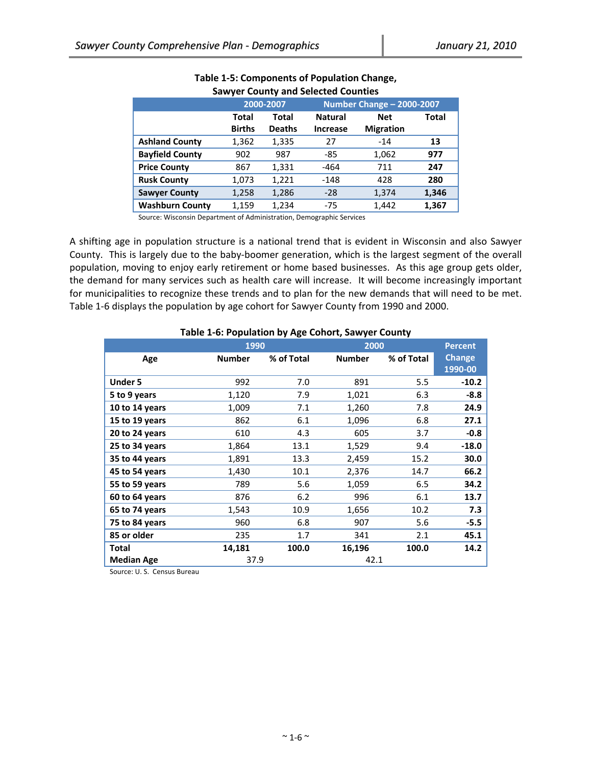|                        |               |               | <u>san jer somniy ana selestem somnites</u> |                  |              |
|------------------------|---------------|---------------|---------------------------------------------|------------------|--------------|
|                        |               | 2000-2007     | Number Change - 2000-2007                   |                  |              |
|                        | Total         | Total         | <b>Natural</b>                              | <b>Net</b>       | <b>Total</b> |
|                        | <b>Births</b> | <b>Deaths</b> | <b>Increase</b>                             | <b>Migration</b> |              |
| <b>Ashland County</b>  | 1,362         | 1,335         | 27                                          | $-14$            | 13           |
| <b>Bayfield County</b> | 902           | 987           | $-85$                                       | 1,062            | 977          |
| <b>Price County</b>    | 867           | 1,331         | $-464$                                      | 711              | 247          |
| <b>Rusk County</b>     | 1,073         | 1,221         | $-148$                                      | 428              | 280          |
| <b>Sawyer County</b>   | 1,258         | 1,286         | $-28$                                       | 1,374            | 1,346        |
| <b>Washburn County</b> | 1,159         | 1,234         | $-75$                                       | 1.442            | 1,367        |

### **Table 1‐5: Components of Population Change, Sawyer County and Selected Counties**

Source: Wisconsin Department of Administration, Demographic Services

A shifting age in population structure is a national trend that is evident in Wisconsin and also Sawyer County. This is largely due to the baby‐boomer generation, which is the largest segment of the overall population, moving to enjoy early retirement or home based businesses. As this age group gets older, the demand for many services such as health care will increase. It will become increasingly important for municipalities to recognize these trends and to plan for the new demands that will need to be met. Table 1‐6 displays the population by age cohort for Sawyer County from 1990 and 2000.

| rabic 1-0. I opulation by Age conort, Jawyer county |               |            |               |            |                |  |  |  |  |  |  |
|-----------------------------------------------------|---------------|------------|---------------|------------|----------------|--|--|--|--|--|--|
|                                                     |               | 1990       |               | 2000       | <b>Percent</b> |  |  |  |  |  |  |
| Age                                                 | <b>Number</b> | % of Total | <b>Number</b> | % of Total | <b>Change</b>  |  |  |  |  |  |  |
|                                                     |               |            |               |            | 1990-00        |  |  |  |  |  |  |
| <b>Under 5</b>                                      | 992           | 7.0        | 891           | 5.5        | $-10.2$        |  |  |  |  |  |  |
| 5 to 9 years                                        | 1,120         | 7.9        | 1,021         | 6.3        | $-8.8$         |  |  |  |  |  |  |
| 10 to 14 years                                      | 1,009         | 7.1        | 1,260         | 7.8        | 24.9           |  |  |  |  |  |  |
| 15 to 19 years                                      | 862           | 6.1        | 1,096         | 6.8        | 27.1           |  |  |  |  |  |  |
| 20 to 24 years                                      | 610           | 4.3        | 605           | 3.7        | $-0.8$         |  |  |  |  |  |  |
| 25 to 34 years                                      | 1,864         | 13.1       | 1,529         | 9.4        | $-18.0$        |  |  |  |  |  |  |
| 35 to 44 years                                      | 1,891         | 13.3       | 2,459         | 15.2       | 30.0           |  |  |  |  |  |  |
| 45 to 54 years                                      | 1,430         | 10.1       | 2,376         | 14.7       | 66.2           |  |  |  |  |  |  |
| 55 to 59 years                                      | 789           | 5.6        | 1,059         | 6.5        | 34.2           |  |  |  |  |  |  |
| 60 to 64 years                                      | 876           | 6.2        | 996           | 6.1        | 13.7           |  |  |  |  |  |  |
| 65 to 74 years                                      | 1,543         | 10.9       | 1,656         | 10.2       | 7.3            |  |  |  |  |  |  |
| 75 to 84 years                                      | 960           | 6.8        | 907           | 5.6        | $-5.5$         |  |  |  |  |  |  |
| 85 or older                                         | 235           | 1.7        | 341           | 2.1        | 45.1           |  |  |  |  |  |  |
| <b>Total</b>                                        | 14,181        | 100.0      | 16,196        | 100.0      | 14.2           |  |  |  |  |  |  |
| <b>Median Age</b>                                   |               | 37.9       |               | 42.1       |                |  |  |  |  |  |  |

# **Table 1‐6: Population by Age Cohort, Sawyer County**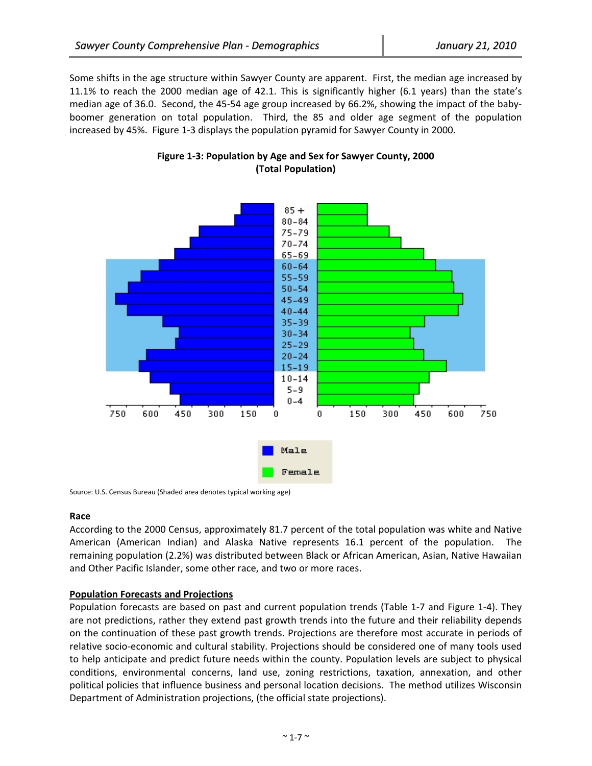Some shifts in the age structure within Sawyer County are apparent. First, the median age increased by 11.1% to reach the 2000 median age of 42.1. This is significantly higher (6.1 years) than the state's median age of 36.0. Second, the 45‐54 age group increased by 66.2%, showing the impact of the baby‐ boomer generation on total population. Third, the 85 and older age segment of the population increased by 45%. Figure 1‐3 displays the population pyramid for Sawyer County in 2000.



# **Figure 1‐3: Population by Age and Sex for Sawyer County, 2000 (Total Population)**

Source: U.S. Census Bureau (Shaded area denotes typical working age)

## **Race**

According to the 2000 Census, approximately 81.7 percent of the total population was white and Native American (American Indian) and Alaska Native represents 16.1 percent of the population. The remaining population (2.2%) was distributed between Black or African American, Asian, Native Hawaiian and Other Pacific Islander, some other race, and two or more races.

## **Population Forecasts and Projections**

Population forecasts are based on past and current population trends (Table 1‐7 and Figure 1‐4). They are not predictions, rather they extend past growth trends into the future and their reliability depends on the continuation of these past growth trends. Projections are therefore most accurate in periods of relative socio‐economic and cultural stability. Projections should be considered one of many tools used to help anticipate and predict future needs within the county. Population levels are subject to physical conditions, environmental concerns, land use, zoning restrictions, taxation, annexation, and other political policies that influence business and personal location decisions. The method utilizes Wisconsin Department of Administration projections, (the official state projections).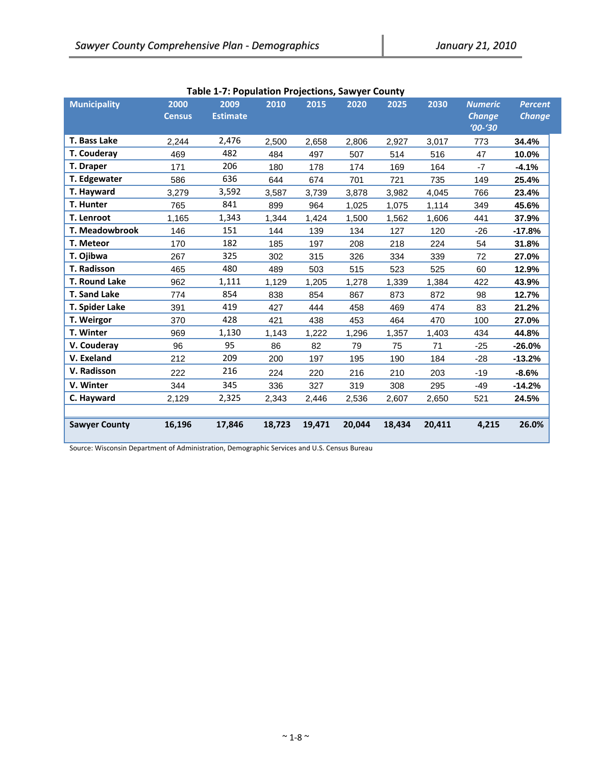| <b>Municipality</b>  | 2000<br><b>Census</b> | 2009<br><b>Estimate</b> | 2010   | 2015   | 2020   | 2025   | 2030   | <b>Numeric</b><br><b>Change</b><br>$'00 - '30$ | <b>Percent</b><br><b>Change</b> |
|----------------------|-----------------------|-------------------------|--------|--------|--------|--------|--------|------------------------------------------------|---------------------------------|
| <b>T. Bass Lake</b>  | 2,244                 | 2,476                   | 2,500  | 2,658  | 2,806  | 2,927  | 3,017  | 773                                            | 34.4%                           |
| T. Couderay          | 469                   | 482                     | 484    | 497    | 507    | 514    | 516    | 47                                             | 10.0%                           |
| T. Draper            | 171                   | 206                     | 180    | 178    | 174    | 169    | 164    | $-7$                                           | $-4.1%$                         |
| T. Edgewater         | 586                   | 636                     | 644    | 674    | 701    | 721    | 735    | 149                                            | 25.4%                           |
| T. Hayward           | 3,279                 | 3,592                   | 3,587  | 3,739  | 3,878  | 3,982  | 4,045  | 766                                            | 23.4%                           |
| T. Hunter            | 765                   | 841                     | 899    | 964    | 1,025  | 1,075  | 1,114  | 349                                            | 45.6%                           |
| T. Lenroot           | 1,165                 | 1,343                   | 1,344  | 1,424  | 1,500  | 1,562  | 1,606  | 441                                            | 37.9%                           |
| T. Meadowbrook       | 146                   | 151                     | 144    | 139    | 134    | 127    | 120    | $-26$                                          | -17.8%                          |
| T. Meteor            | 170                   | 182                     | 185    | 197    | 208    | 218    | 224    | 54                                             | 31.8%                           |
| T. Ojibwa            | 267                   | 325                     | 302    | 315    | 326    | 334    | 339    | 72                                             | 27.0%                           |
| <b>T. Radisson</b>   | 465                   | 480                     | 489    | 503    | 515    | 523    | 525    | 60                                             | 12.9%                           |
| <b>T. Round Lake</b> | 962                   | 1,111                   | 1,129  | 1,205  | 1,278  | 1,339  | 1,384  | 422                                            | 43.9%                           |
| <b>T. Sand Lake</b>  | 774                   | 854                     | 838    | 854    | 867    | 873    | 872    | 98                                             | 12.7%                           |
| T. Spider Lake       | 391                   | 419                     | 427    | 444    | 458    | 469    | 474    | 83                                             | 21.2%                           |
| T. Weirgor           | 370                   | 428                     | 421    | 438    | 453    | 464    | 470    | 100                                            | 27.0%                           |
| T. Winter            | 969                   | 1,130                   | 1,143  | 1,222  | 1,296  | 1,357  | 1,403  | 434                                            | 44.8%                           |
| V. Couderay          | 96                    | 95                      | 86     | 82     | 79     | 75     | 71     | $-25$                                          | $-26.0%$                        |
| V. Exeland           | 212                   | 209                     | 200    | 197    | 195    | 190    | 184    | $-28$                                          | $-13.2%$                        |
| V. Radisson          | 222                   | 216                     | 224    | 220    | 216    | 210    | 203    | $-19$                                          | $-8.6%$                         |
| V. Winter            | 344                   | 345                     | 336    | 327    | 319    | 308    | 295    | $-49$                                          | $-14.2%$                        |
| C. Hayward           | 2,129                 | 2,325                   | 2,343  | 2,446  | 2,536  | 2,607  | 2,650  | 521                                            | 24.5%                           |
| <b>Sawyer County</b> | 16,196                | 17,846                  | 18,723 | 19,471 | 20,044 | 18,434 | 20,411 | 4,215                                          | 26.0%                           |

**Table 1‐7: Population Projections, Sawyer County** 

Source: Wisconsin Department of Administration, Demographic Services and U.S. Census Bureau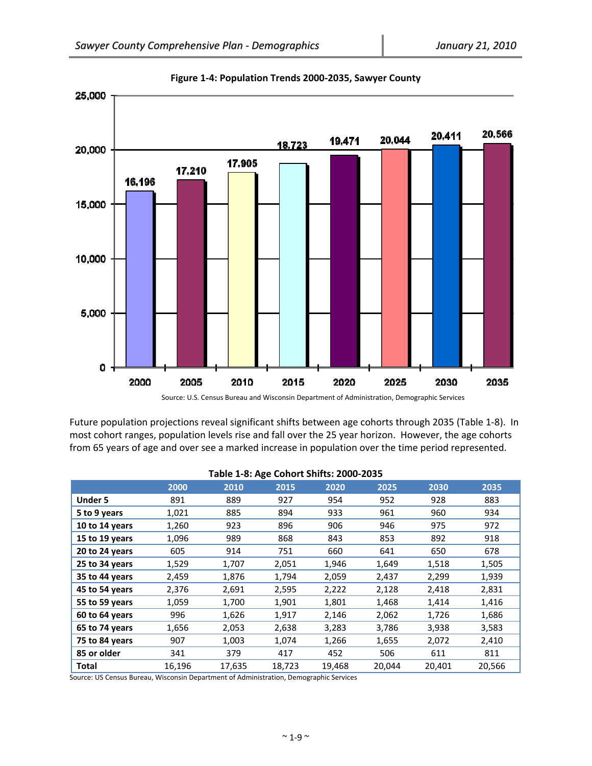

**Figure 1‐4: Population Trends 2000‐2035, Sawyer County**

Source: U.S. Census Bureau and Wisconsin Department of Administration, Demographic Services

Future population projections reveal significant shifts between age cohorts through 2035 (Table 1‐8). In most cohort ranges, population levels rise and fall over the 25 year horizon. However, the age cohorts from 65 years of age and over see a marked increase in population over the time period represented.

|                |        |        | ັ      |        |        |        |        |
|----------------|--------|--------|--------|--------|--------|--------|--------|
|                | 2000   | 2010   | 2015   | 2020   | 2025   | 2030   | 2035   |
| <b>Under 5</b> | 891    | 889    | 927    | 954    | 952    | 928    | 883    |
| 5 to 9 years   | 1,021  | 885    | 894    | 933    | 961    | 960    | 934    |
| 10 to 14 years | 1,260  | 923    | 896    | 906    | 946    | 975    | 972    |
| 15 to 19 years | 1,096  | 989    | 868    | 843    | 853    | 892    | 918    |
| 20 to 24 years | 605    | 914    | 751    | 660    | 641    | 650    | 678    |
| 25 to 34 years | 1,529  | 1,707  | 2,051  | 1,946  | 1,649  | 1,518  | 1,505  |
| 35 to 44 years | 2,459  | 1,876  | 1,794  | 2,059  | 2,437  | 2,299  | 1,939  |
| 45 to 54 years | 2,376  | 2,691  | 2,595  | 2,222  | 2,128  | 2,418  | 2,831  |
| 55 to 59 years | 1,059  | 1,700  | 1,901  | 1,801  | 1,468  | 1,414  | 1,416  |
| 60 to 64 years | 996    | 1,626  | 1,917  | 2,146  | 2,062  | 1,726  | 1,686  |
| 65 to 74 years | 1,656  | 2,053  | 2,638  | 3,283  | 3,786  | 3,938  | 3,583  |
| 75 to 84 years | 907    | 1,003  | 1,074  | 1,266  | 1,655  | 2,072  | 2,410  |
| 85 or older    | 341    | 379    | 417    | 452    | 506    | 611    | 811    |
| Total          | 16,196 | 17,635 | 18,723 | 19,468 | 20,044 | 20,401 | 20,566 |

#### **Table 1‐8: Age Cohort Shifts: 2000‐2035**

Source: US Census Bureau, Wisconsin Department of Administration, Demographic Services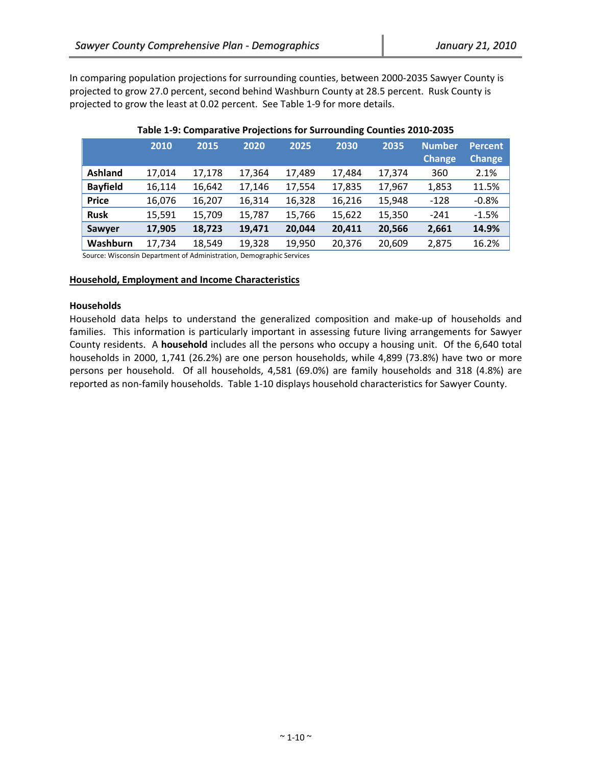In comparing population projections for surrounding counties, between 2000‐2035 Sawyer County is projected to grow 27.0 percent, second behind Washburn County at 28.5 percent. Rusk County is projected to grow the least at 0.02 percent. See Table 1‐9 for more details.

|                 | 2010   | 2015   | 2020   | 2025   | 2030   | 2035   | <b>Number</b><br><b>Change</b> | <b>Percent</b><br><b>Change</b> |
|-----------------|--------|--------|--------|--------|--------|--------|--------------------------------|---------------------------------|
| <b>Ashland</b>  | 17,014 | 17,178 | 17,364 | 17,489 | 17,484 | 17,374 | 360                            | 2.1%                            |
| <b>Bayfield</b> | 16,114 | 16,642 | 17,146 | 17,554 | 17,835 | 17,967 | 1,853                          | 11.5%                           |
| <b>Price</b>    | 16,076 | 16,207 | 16,314 | 16,328 | 16,216 | 15,948 | $-128$                         | $-0.8%$                         |
| <b>Rusk</b>     | 15,591 | 15,709 | 15,787 | 15,766 | 15,622 | 15,350 | $-241$                         | $-1.5%$                         |
| Sawyer          | 17,905 | 18,723 | 19,471 | 20,044 | 20,411 | 20,566 | 2,661                          | 14.9%                           |
| Washburn        | 17,734 | 18,549 | 19,328 | 19,950 | 20,376 | 20,609 | 2,875                          | 16.2%                           |

## **Table 1‐9: Comparative Projections for Surrounding Counties 2010‐2035**

Source: Wisconsin Department of Administration, Demographic Services

#### **Household, Employment and Income Characteristics**

#### **Households**

Household data helps to understand the generalized composition and make‐up of households and families. This information is particularly important in assessing future living arrangements for Sawyer County residents. A **household** includes all the persons who occupy a housing unit. Of the 6,640 total households in 2000, 1,741 (26.2%) are one person households, while 4,899 (73.8%) have two or more persons per household. Of all households, 4,581 (69.0%) are family households and 318 (4.8%) are reported as non‐family households. Table 1‐10 displays household characteristics for Sawyer County.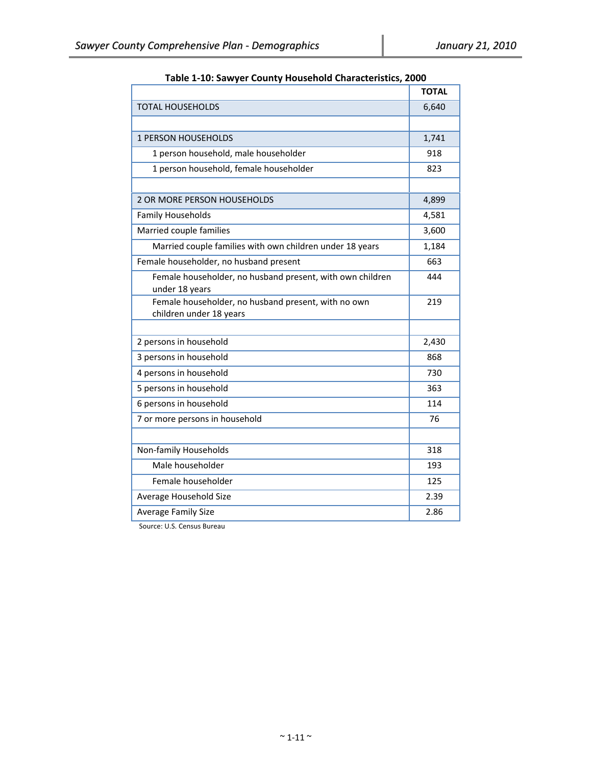|                                                                                | <b>TOTAL</b> |
|--------------------------------------------------------------------------------|--------------|
| <b>TOTAL HOUSEHOLDS</b>                                                        | 6,640        |
|                                                                                |              |
| <b>1 PERSON HOUSEHOLDS</b>                                                     | 1,741        |
| 1 person household, male householder                                           | 918          |
| 1 person household, female householder                                         | 823          |
|                                                                                |              |
| <b>2 OR MORE PERSON HOUSEHOLDS</b>                                             | 4,899        |
| <b>Family Households</b>                                                       | 4,581        |
| Married couple families                                                        | 3,600        |
| Married couple families with own children under 18 years                       | 1,184        |
| Female householder, no husband present                                         | 663          |
| Female householder, no husband present, with own children<br>under 18 years    | 444          |
| Female householder, no husband present, with no own<br>children under 18 years | 219          |
| 2 persons in household                                                         | 2,430        |
| 3 persons in household                                                         | 868          |
| 4 persons in household                                                         | 730          |
| 5 persons in household                                                         | 363          |
| 6 persons in household                                                         | 114          |
| 7 or more persons in household                                                 | 76           |
|                                                                                |              |
| Non-family Households                                                          | 318          |
| Male householder                                                               | 193          |
| Female householder                                                             | 125          |
| Average Household Size                                                         | 2.39         |
| <b>Average Family Size</b>                                                     | 2.86         |

**Table 1‐10: Sawyer County Household Characteristics, 2000**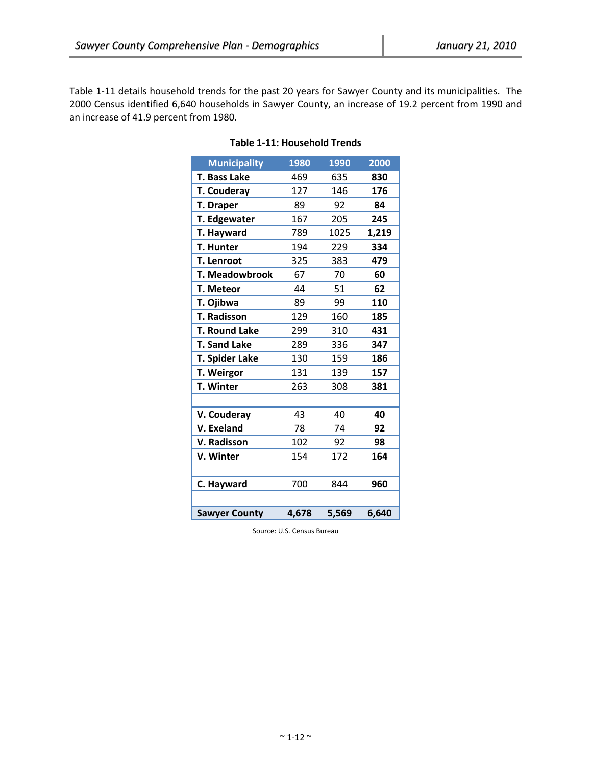Table 1‐11 details household trends for the past 20 years for Sawyer County and its municipalities. The 2000 Census identified 6,640 households in Sawyer County, an increase of 19.2 percent from 1990 and an increase of 41.9 percent from 1980.

| <b>Municipality</b>   | 1980  | 1990  | 2000  |
|-----------------------|-------|-------|-------|
| T. Bass Lake          | 469   | 635   | 830   |
| <b>T. Couderay</b>    | 127   | 146   | 176   |
| <b>T. Draper</b>      | 89    | 92    | 84    |
| T. Edgewater          | 167   | 205   | 245   |
| T. Hayward            | 789   | 1025  | 1,219 |
| <b>T. Hunter</b>      | 194   | 229   | 334   |
| <b>T. Lenroot</b>     | 325   | 383   | 479   |
| <b>T. Meadowbrook</b> | 67    | 70    | 60    |
| T. Meteor             | 44    | 51    | 62    |
| T. Ojibwa             | 89    | 99    | 110   |
| <b>T. Radisson</b>    | 129   | 160   | 185   |
| <b>T. Round Lake</b>  | 299   | 310   | 431   |
| <b>T. Sand Lake</b>   | 289   | 336   | 347   |
| <b>T. Spider Lake</b> | 130   | 159   | 186   |
| T. Weirgor            | 131   | 139   | 157   |
| <b>T. Winter</b>      | 263   | 308   | 381   |
|                       |       |       |       |
| V. Couderay           | 43    | 40    | 40    |
| V. Exeland            | 78    | 74    | 92    |
| V. Radisson           | 102   | 92    | 98    |
| V. Winter             | 154   | 172   | 164   |
|                       |       |       |       |
| C. Hayward            | 700   | 844   | 960   |
|                       |       |       |       |
| <b>Sawyer County</b>  | 4,678 | 5,569 | 6,640 |

# **Table 1‐11: Household Trends**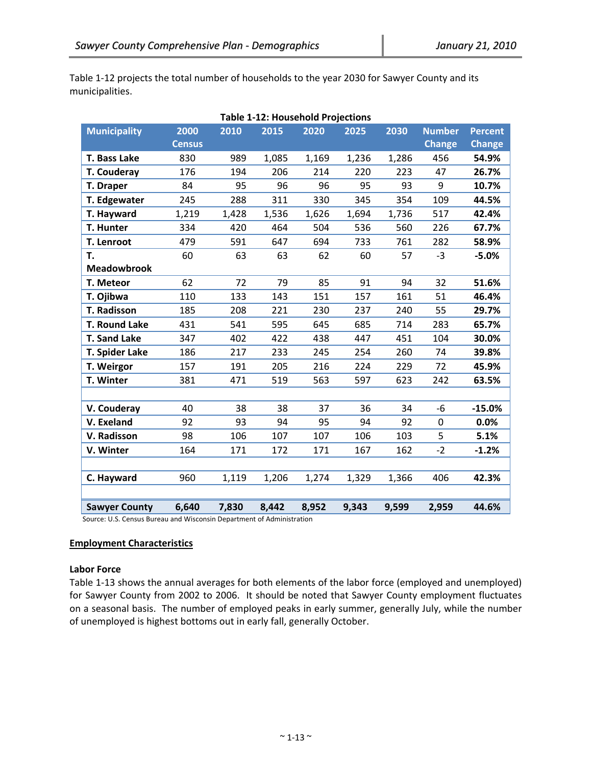Table 1-12 projects the total number of households to the year 2030 for Sawyer County and its municipalities.

| <b>Table 1-12: Household Projections</b> |               |       |       |       |       |       |               |                |  |  |  |
|------------------------------------------|---------------|-------|-------|-------|-------|-------|---------------|----------------|--|--|--|
| <b>Municipality</b>                      | 2000          | 2010  | 2015  | 2020  | 2025  | 2030  | <b>Number</b> | <b>Percent</b> |  |  |  |
|                                          | <b>Census</b> |       |       |       |       |       | <b>Change</b> | <b>Change</b>  |  |  |  |
| T. Bass Lake                             | 830           | 989   | 1,085 | 1,169 | 1,236 | 1,286 | 456           | 54.9%          |  |  |  |
| T. Couderay                              | 176           | 194   | 206   | 214   | 220   | 223   | 47            | 26.7%          |  |  |  |
| T. Draper                                | 84            | 95    | 96    | 96    | 95    | 93    | 9             | 10.7%          |  |  |  |
| T. Edgewater                             | 245           | 288   | 311   | 330   | 345   | 354   | 109           | 44.5%          |  |  |  |
| T. Hayward                               | 1,219         | 1,428 | 1,536 | 1,626 | 1,694 | 1,736 | 517           | 42.4%          |  |  |  |
| T. Hunter                                | 334           | 420   | 464   | 504   | 536   | 560   | 226           | 67.7%          |  |  |  |
| T. Lenroot                               | 479           | 591   | 647   | 694   | 733   | 761   | 282           | 58.9%          |  |  |  |
| T.                                       | 60            | 63    | 63    | 62    | 60    | 57    | $-3$          | $-5.0%$        |  |  |  |
| <b>Meadowbrook</b>                       |               |       |       |       |       |       |               |                |  |  |  |
| T. Meteor                                | 62            | 72    | 79    | 85    | 91    | 94    | 32            | 51.6%          |  |  |  |
| T. Ojibwa                                | 110           | 133   | 143   | 151   | 157   | 161   | 51            | 46.4%          |  |  |  |
| <b>T. Radisson</b>                       | 185           | 208   | 221   | 230   | 237   | 240   | 55            | 29.7%          |  |  |  |
| T. Round Lake                            | 431           | 541   | 595   | 645   | 685   | 714   | 283           | 65.7%          |  |  |  |
| <b>T. Sand Lake</b>                      | 347           | 402   | 422   | 438   | 447   | 451   | 104           | 30.0%          |  |  |  |
| T. Spider Lake                           | 186           | 217   | 233   | 245   | 254   | 260   | 74            | 39.8%          |  |  |  |
| T. Weirgor                               | 157           | 191   | 205   | 216   | 224   | 229   | 72            | 45.9%          |  |  |  |
| T. Winter                                | 381           | 471   | 519   | 563   | 597   | 623   | 242           | 63.5%          |  |  |  |
|                                          |               |       |       |       |       |       |               |                |  |  |  |
| V. Couderay                              | 40            | 38    | 38    | 37    | 36    | 34    | $-6$          | $-15.0%$       |  |  |  |
| V. Exeland                               | 92            | 93    | 94    | 95    | 94    | 92    | 0             | 0.0%           |  |  |  |
| V. Radisson                              | 98            | 106   | 107   | 107   | 106   | 103   | 5             | 5.1%           |  |  |  |
| V. Winter                                | 164           | 171   | 172   | 171   | 167   | 162   | $-2$          | $-1.2%$        |  |  |  |
|                                          |               |       |       |       |       |       |               |                |  |  |  |
| C. Hayward                               | 960           | 1,119 | 1,206 | 1,274 | 1,329 | 1,366 | 406           | 42.3%          |  |  |  |
|                                          |               |       |       |       |       |       |               |                |  |  |  |
| <b>Sawyer County</b>                     | 6,640         | 7,830 | 8,442 | 8,952 | 9,343 | 9,599 | 2,959         | 44.6%          |  |  |  |

Source: U.S. Census Bureau and Wisconsin Department of Administration

#### **Employment Characteristics**

#### **Labor Force**

Table 1‐13 shows the annual averages for both elements of the labor force (employed and unemployed) for Sawyer County from 2002 to 2006. It should be noted that Sawyer County employment fluctuates on a seasonal basis. The number of employed peaks in early summer, generally July, while the number of unemployed is highest bottoms out in early fall, generally October.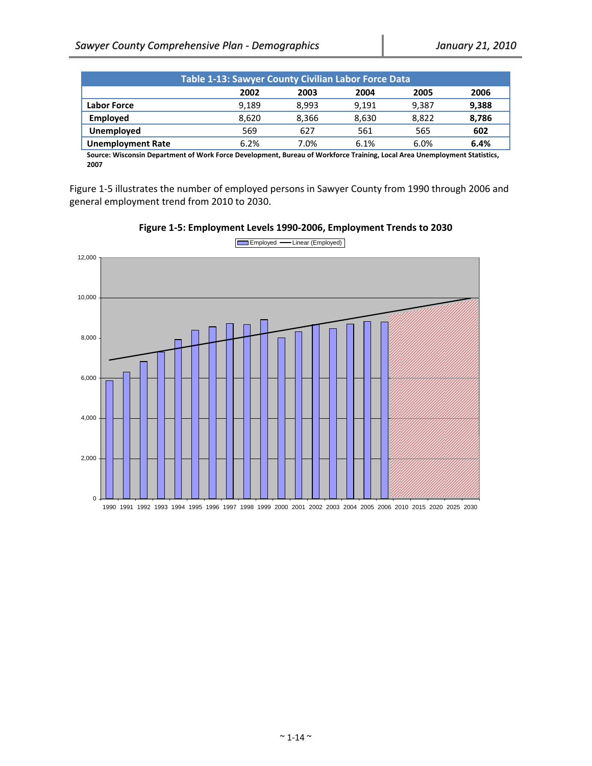| <b>Table 1-13: Sawyer County Civilian Labor Force Data</b> |       |       |       |       |       |
|------------------------------------------------------------|-------|-------|-------|-------|-------|
|                                                            | 2002  | 2003  | 2004  | 2005  | 2006  |
| <b>Labor Force</b>                                         | 9.189 | 8.993 | 9.191 | 9.387 | 9,388 |
| <b>Employed</b>                                            | 8.620 | 8.366 | 8.630 | 8.822 | 8,786 |
| Unemployed                                                 | 569   | 627   | 561   | 565   | 602   |
| <b>Unemployment Rate</b>                                   | 6.2%  | 7.0%  | 6.1%  | 6.0%  | 6.4%  |

Source: Wisconsin Department of Work Force Development, Bureau of Workforce Training, Local Area Unemployment Statistics, **2007**

Figure 1‐5 illustrates the number of employed persons in Sawyer County from 1990 through 2006 and general employment trend from 2010 to 2030.



**Figure 1‐5: Employment Levels 1990‐2006, Employment Trends to 2030**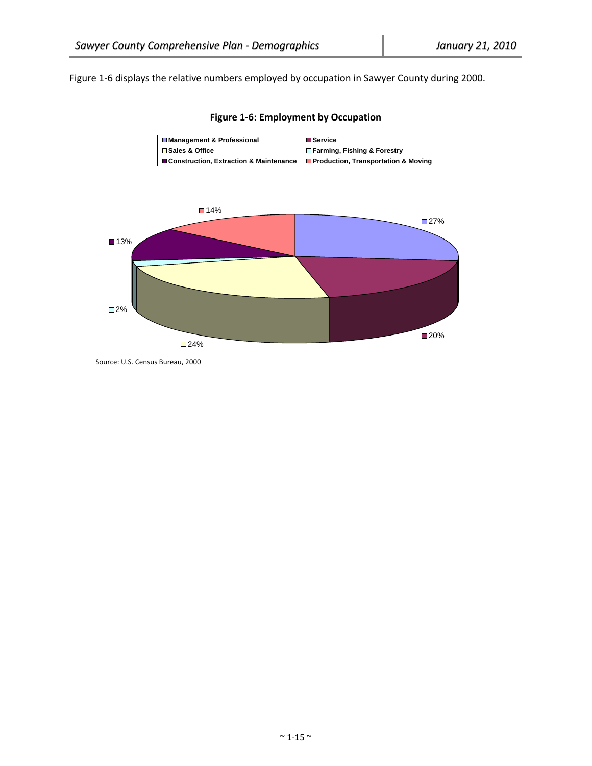Figure 1-6 displays the relative numbers employed by occupation in Sawyer County during 2000.

**Figure 1‐6: Employment by Occupation**





Source: U.S. Census Bureau, 2000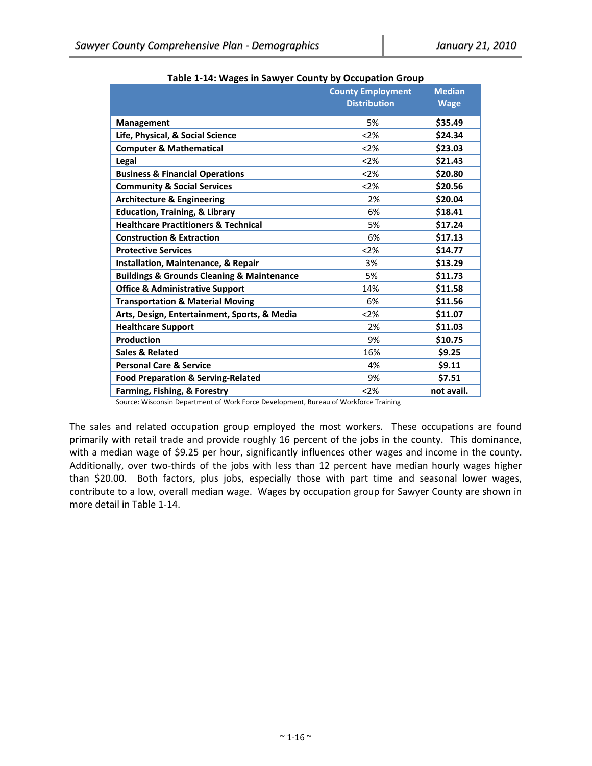|                                                           | <b>County Employment</b><br><b>Distribution</b> | <b>Median</b><br><b>Wage</b> |
|-----------------------------------------------------------|-------------------------------------------------|------------------------------|
| <b>Management</b>                                         | 5%                                              | \$35.49                      |
| Life, Physical, & Social Science                          | < 2%                                            | \$24.34                      |
| <b>Computer &amp; Mathematical</b>                        | < 2%                                            | \$23.03                      |
| Legal                                                     | < 2%                                            | \$21.43                      |
| <b>Business &amp; Financial Operations</b>                | < 2%                                            | \$20.80                      |
| <b>Community &amp; Social Services</b>                    | < 2%                                            | \$20.56                      |
| <b>Architecture &amp; Engineering</b>                     | 2%                                              | \$20.04                      |
| <b>Education, Training, &amp; Library</b>                 | 6%                                              | \$18.41                      |
| <b>Healthcare Practitioners &amp; Technical</b>           | 5%                                              | \$17.24                      |
| <b>Construction &amp; Extraction</b>                      | 6%                                              | \$17.13                      |
| <b>Protective Services</b>                                | < 2%                                            | \$14.77                      |
| Installation, Maintenance, & Repair                       | 3%                                              | \$13.29                      |
| <b>Buildings &amp; Grounds Cleaning &amp; Maintenance</b> | 5%                                              | \$11.73                      |
| <b>Office &amp; Administrative Support</b>                | 14%                                             | \$11.58                      |
| <b>Transportation &amp; Material Moving</b>               | 6%                                              | \$11.56                      |
| Arts, Design, Entertainment, Sports, & Media              | < 2%                                            | \$11.07                      |
| <b>Healthcare Support</b>                                 | 2%                                              | \$11.03                      |
| Production                                                | 9%                                              | \$10.75                      |
| Sales & Related                                           | 16%                                             | \$9.25                       |
| <b>Personal Care &amp; Service</b>                        | 4%                                              | \$9.11                       |
| <b>Food Preparation &amp; Serving-Related</b>             | 9%                                              | \$7.51                       |
| Farming, Fishing, & Forestry                              | < 2%                                            | not avail.                   |

**Table 1‐14: Wages in Sawyer County by Occupation Group**

Source: Wisconsin Department of Work Force Development, Bureau of Workforce Training

The sales and related occupation group employed the most workers. These occupations are found primarily with retail trade and provide roughly 16 percent of the jobs in the county. This dominance, with a median wage of \$9.25 per hour, significantly influences other wages and income in the county. Additionally, over two-thirds of the jobs with less than 12 percent have median hourly wages higher than \$20.00. Both factors, plus jobs, especially those with part time and seasonal lower wages, contribute to a low, overall median wage. Wages by occupation group for Sawyer County are shown in more detail in Table 1‐14.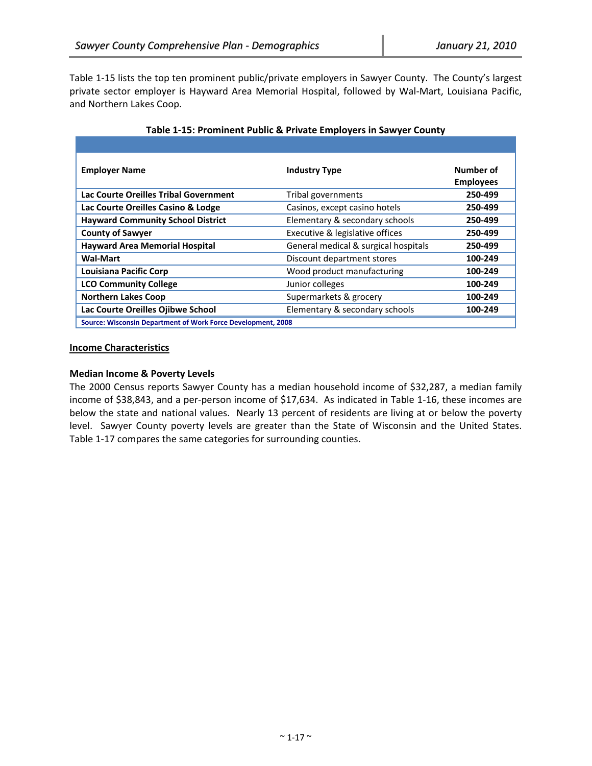Table 1‐15 lists the top ten prominent public/private employers in Sawyer County. The County's largest private sector employer is Hayward Area Memorial Hospital, followed by Wal‐Mart, Louisiana Pacific, and Northern Lakes Coop.

| <b>Employer Name</b>                                         | <b>Industry Type</b>                 | Number of<br><b>Employees</b> |  |  |
|--------------------------------------------------------------|--------------------------------------|-------------------------------|--|--|
| Lac Courte Oreilles Tribal Government                        | Tribal governments                   | 250-499                       |  |  |
| Lac Courte Oreilles Casino & Lodge                           | Casinos, except casino hotels        | 250-499                       |  |  |
| <b>Hayward Community School District</b>                     | Elementary & secondary schools       | 250-499                       |  |  |
| <b>County of Sawyer</b>                                      | Executive & legislative offices      | 250-499                       |  |  |
| <b>Hayward Area Memorial Hospital</b>                        | General medical & surgical hospitals | 250-499                       |  |  |
| <b>Wal-Mart</b>                                              | Discount department stores           | 100-249                       |  |  |
| Louisiana Pacific Corp                                       | Wood product manufacturing           | 100-249                       |  |  |
| <b>LCO Community College</b>                                 | Junior colleges                      | 100-249                       |  |  |
| <b>Northern Lakes Coop</b>                                   | Supermarkets & grocery               | 100-249                       |  |  |
| Lac Courte Oreilles Ojibwe School                            | Elementary & secondary schools       | 100-249                       |  |  |
| Source: Wisconsin Department of Work Force Development, 2008 |                                      |                               |  |  |

## **Table 1‐15: Prominent Public & Private Employers in Sawyer County**

#### **Income Characteristics**

### **Median Income & Poverty Levels**

The 2000 Census reports Sawyer County has a median household income of \$32,287, a median family income of \$38,843, and a per‐person income of \$17,634. As indicated in Table 1‐16, these incomes are below the state and national values. Nearly 13 percent of residents are living at or below the poverty level. Sawyer County poverty levels are greater than the State of Wisconsin and the United States. Table 1‐17 compares the same categories for surrounding counties.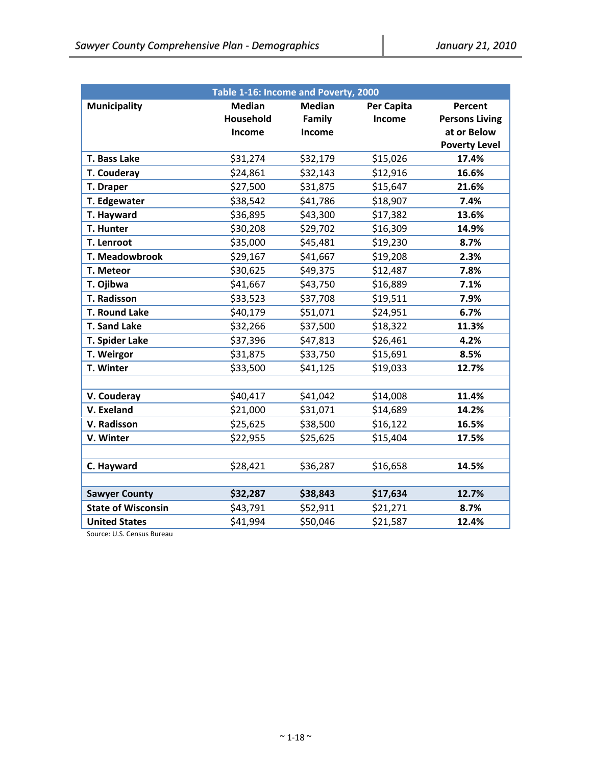| Table 1-16: Income and Poverty, 2000 |               |               |            |                       |  |
|--------------------------------------|---------------|---------------|------------|-----------------------|--|
| <b>Municipality</b>                  | <b>Median</b> | <b>Median</b> | Per Capita | Percent               |  |
|                                      | Household     | Family        | Income     | <b>Persons Living</b> |  |
|                                      | Income        | Income        |            | at or Below           |  |
|                                      |               |               |            | <b>Poverty Level</b>  |  |
| T. Bass Lake                         | \$31,274      | \$32,179      | \$15,026   | 17.4%                 |  |
| T. Couderay                          | \$24,861      | \$32,143      | \$12,916   | 16.6%                 |  |
| T. Draper                            | \$27,500      | \$31,875      | \$15,647   | 21.6%                 |  |
| T. Edgewater                         | \$38,542      | \$41,786      | \$18,907   | 7.4%                  |  |
| T. Hayward                           | \$36,895      | \$43,300      | \$17,382   | 13.6%                 |  |
| T. Hunter                            | \$30,208      | \$29,702      | \$16,309   | 14.9%                 |  |
| T. Lenroot                           | \$35,000      | \$45,481      | \$19,230   | 8.7%                  |  |
| <b>T. Meadowbrook</b>                | \$29,167      | \$41,667      | \$19,208   | 2.3%                  |  |
| T. Meteor                            | \$30,625      | \$49,375      | \$12,487   | 7.8%                  |  |
| T. Ojibwa                            | \$41,667      | \$43,750      | \$16,889   | 7.1%                  |  |
| <b>T. Radisson</b>                   | \$33,523      | \$37,708      | \$19,511   | 7.9%                  |  |
| T. Round Lake                        | \$40,179      | \$51,071      | \$24,951   | 6.7%                  |  |
| <b>T. Sand Lake</b>                  | \$32,266      | \$37,500      | \$18,322   | 11.3%                 |  |
| T. Spider Lake                       | \$37,396      | \$47,813      | \$26,461   | 4.2%                  |  |
| T. Weirgor                           | \$31,875      | \$33,750      | \$15,691   | 8.5%                  |  |
| T. Winter                            | \$33,500      | \$41,125      | \$19,033   | 12.7%                 |  |
|                                      |               |               |            |                       |  |
| V. Couderay                          | \$40,417      | \$41,042      | \$14,008   | 11.4%                 |  |
| V. Exeland                           | \$21,000      | \$31,071      | \$14,689   | 14.2%                 |  |
| V. Radisson                          | \$25,625      | \$38,500      | \$16,122   | 16.5%                 |  |
| V. Winter                            | \$22,955      | \$25,625      | \$15,404   | 17.5%                 |  |
|                                      |               |               |            |                       |  |
| C. Hayward                           | \$28,421      | \$36,287      | \$16,658   | 14.5%                 |  |
|                                      |               |               |            |                       |  |
| <b>Sawyer County</b>                 | \$32,287      | \$38,843      | \$17,634   | 12.7%                 |  |
| <b>State of Wisconsin</b>            | \$43,791      | \$52,911      | \$21,271   | 8.7%                  |  |
| <b>United States</b>                 | \$41,994      | \$50,046      | \$21,587   | 12.4%                 |  |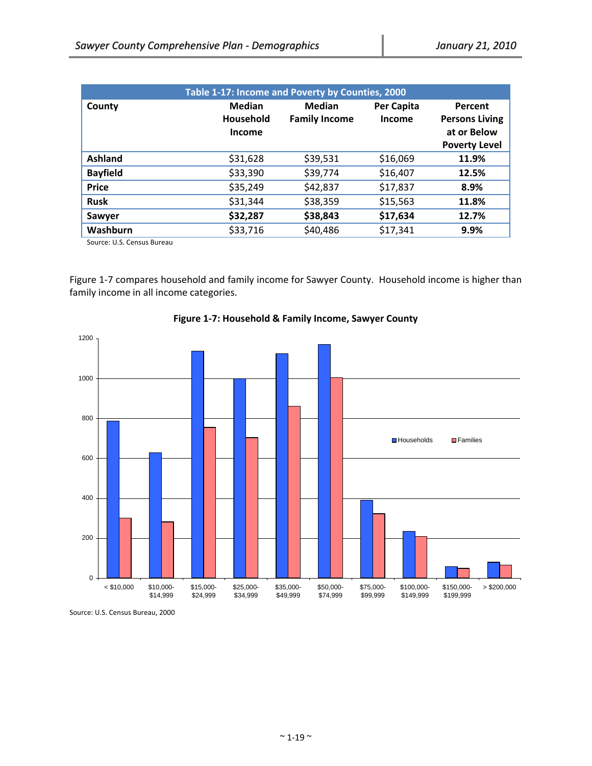| Table 1-17: Income and Poverty by Counties, 2000 |                               |                                       |                      |                                                                         |
|--------------------------------------------------|-------------------------------|---------------------------------------|----------------------|-------------------------------------------------------------------------|
| County                                           | Median<br>Household<br>Income | <b>Median</b><br><b>Family Income</b> | Per Capita<br>Income | Percent<br><b>Persons Living</b><br>at or Below<br><b>Poverty Level</b> |
| <b>Ashland</b>                                   | \$31,628                      | \$39,531                              | \$16,069             | 11.9%                                                                   |
| <b>Bayfield</b>                                  | \$33,390                      | \$39,774                              | \$16,407             | 12.5%                                                                   |
| <b>Price</b>                                     | \$35,249                      | \$42,837                              | \$17,837             | 8.9%                                                                    |
| <b>Rusk</b>                                      | \$31,344                      | \$38,359                              | \$15,563             | 11.8%                                                                   |
| Sawyer                                           | \$32,287                      | \$38,843                              | \$17,634             | 12.7%                                                                   |
| Washburn                                         | \$33,716                      | \$40,486                              | \$17,341             | 9.9%                                                                    |

Source: U.S. Census Bureau

Figure 1-7 compares household and family income for Sawyer County. Household income is higher than family income in all income categories.



**Figure 1‐7: Household & Family Income, Sawyer County**